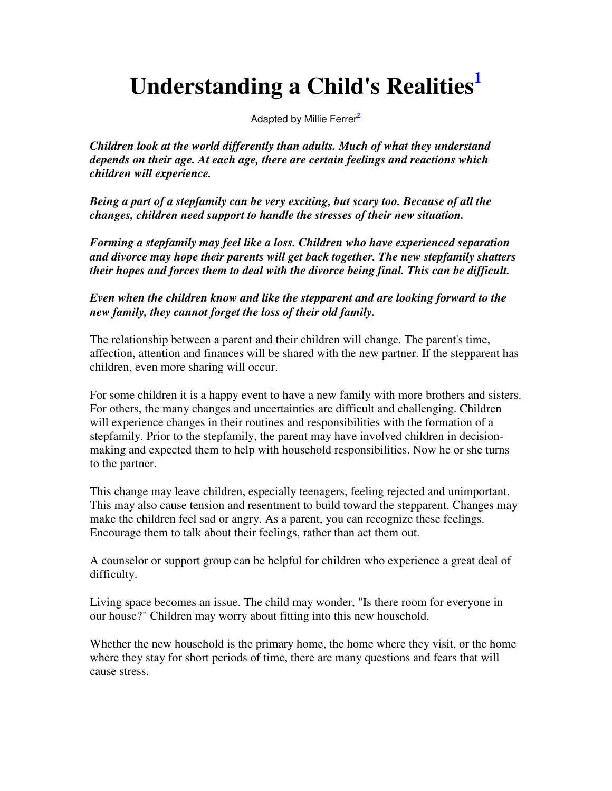# **Understanding a Child's Realities<sup>1</sup>**

Adapted by Millie Ferrer $^2$ 

*Children look at the world differently than adults. Much of what they understand depends on their age. At each age, there are certain feelings and reactions which children will experience.*

*Being a part of a stepfamily can be very exciting, but scary too. Because of all the changes, children need support to handle the stresses of their new situation.*

*Forming a stepfamily may feel like a loss. Children who have experienced separation and divorce may hope their parents will get back together. The new stepfamily shatters their hopes and forces them to deal with the divorce being final. This can be difficult.*

*Even when the children know and like the stepparent and are looking forward to the new family, they cannot forget the loss of their old family.*

The relationship between a parent and their children will change. The parent's time, affection, attention and finances will be shared with the new partner. If the stepparent has children, even more sharing will occur.

For some children it is a happy event to have a new family with more brothers and sisters. For others, the many changes and uncertainties are difficult and challenging. Children will experience changes in their routines and responsibilities with the formation of a stepfamily. Prior to the stepfamily, the parent may have involved children in decisionmaking and expected them to help with household responsibilities. Now he or she turns to the partner.

This change may leave children, especially teenagers, feeling rejected and unimportant. This may also cause tension and resentment to build toward the stepparent. Changes may make the children feel sad or angry. As a parent, you can recognize these feelings. Encourage them to talk about their feelings, rather than act them out.

A counselor or support group can be helpful for children who experience a great deal of difficulty.

Living space becomes an issue. The child may wonder, "Is there room for everyone in our house?" Children may worry about fitting into this new household.

Whether the new household is the primary home, the home where they visit, or the home where they stay for short periods of time, there are many questions and fears that will cause stress.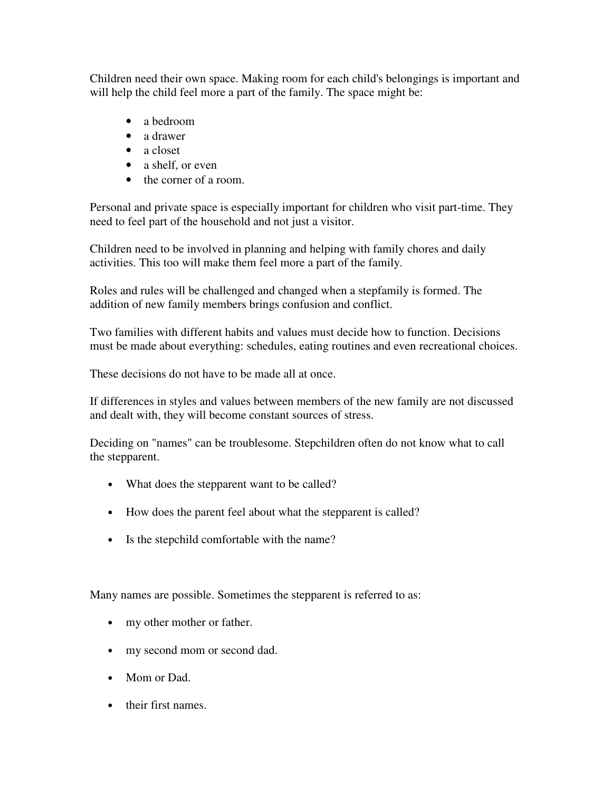Children need their own space. Making room for each child's belongings is important and will help the child feel more a part of the family. The space might be:

- a bedroom
- a drawer
- a closet
- a shelf, or even
- the corner of a room.

Personal and private space is especially important for children who visit part-time. They need to feel part of the household and not just a visitor.

Children need to be involved in planning and helping with family chores and daily activities. This too will make them feel more a part of the family.

Roles and rules will be challenged and changed when a stepfamily is formed. The addition of new family members brings confusion and conflict.

Two families with different habits and values must decide how to function. Decisions must be made about everything: schedules, eating routines and even recreational choices.

These decisions do not have to be made all at once.

If differences in styles and values between members of the new family are not discussed and dealt with, they will become constant sources of stress.

Deciding on "names" can be troublesome. Stepchildren often do not know what to call the stepparent.

- What does the stepparent want to be called?
- How does the parent feel about what the stepparent is called?
- Is the stepchild comfortable with the name?

Many names are possible. Sometimes the stepparent is referred to as:

- my other mother or father.
- my second mom or second dad.
- Mom or Dad.
- their first names.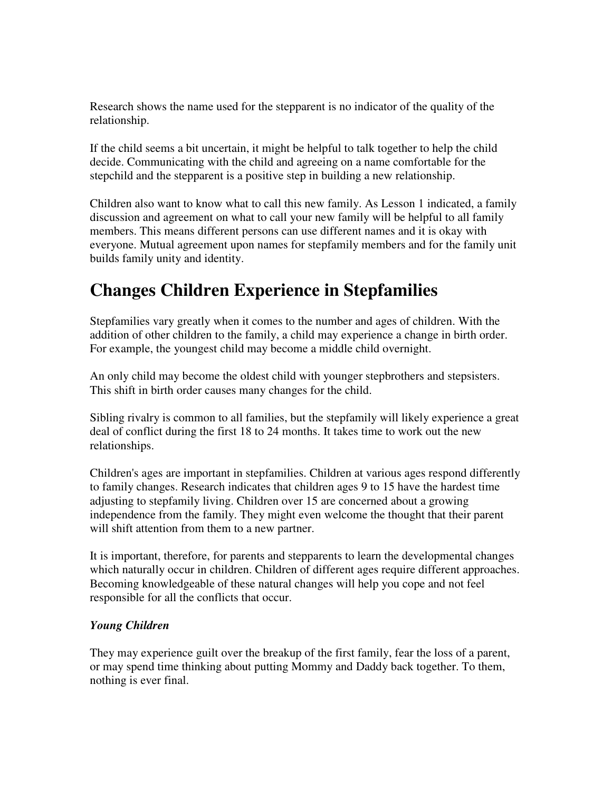Research shows the name used for the stepparent is no indicator of the quality of the relationship.

If the child seems a bit uncertain, it might be helpful to talk together to help the child decide. Communicating with the child and agreeing on a name comfortable for the stepchild and the stepparent is a positive step in building a new relationship.

Children also want to know what to call this new family. As Lesson 1 indicated, a family discussion and agreement on what to call your new family will be helpful to all family members. This means different persons can use different names and it is okay with everyone. Mutual agreement upon names for stepfamily members and for the family unit builds family unity and identity.

# **Changes Children Experience in Stepfamilies**

Stepfamilies vary greatly when it comes to the number and ages of children. With the addition of other children to the family, a child may experience a change in birth order. For example, the youngest child may become a middle child overnight.

An only child may become the oldest child with younger stepbrothers and stepsisters. This shift in birth order causes many changes for the child.

Sibling rivalry is common to all families, but the stepfamily will likely experience a great deal of conflict during the first 18 to 24 months. It takes time to work out the new relationships.

Children's ages are important in stepfamilies. Children at various ages respond differently to family changes. Research indicates that children ages 9 to 15 have the hardest time adjusting to stepfamily living. Children over 15 are concerned about a growing independence from the family. They might even welcome the thought that their parent will shift attention from them to a new partner.

It is important, therefore, for parents and stepparents to learn the developmental changes which naturally occur in children. Children of different ages require different approaches. Becoming knowledgeable of these natural changes will help you cope and not feel responsible for all the conflicts that occur.

### *Young Children*

They may experience guilt over the breakup of the first family, fear the loss of a parent, or may spend time thinking about putting Mommy and Daddy back together. To them, nothing is ever final.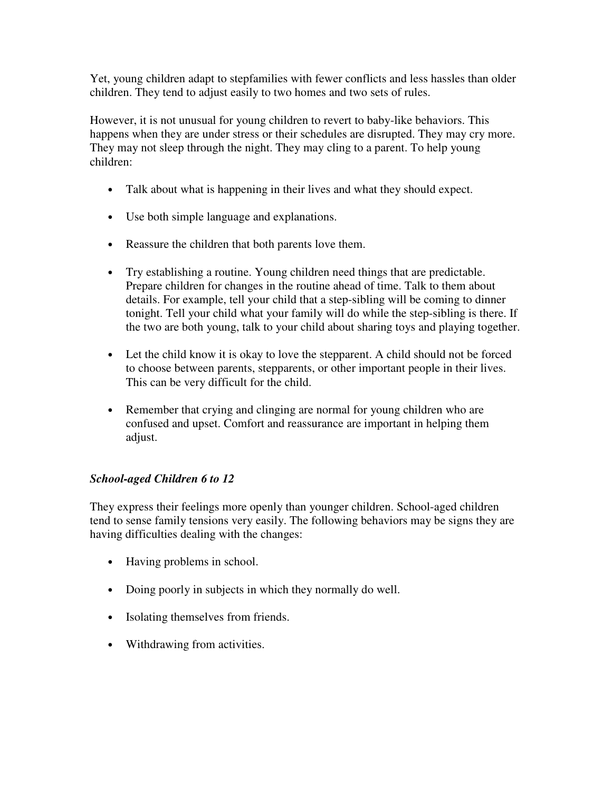Yet, young children adapt to stepfamilies with fewer conflicts and less hassles than older children. They tend to adjust easily to two homes and two sets of rules.

However, it is not unusual for young children to revert to baby-like behaviors. This happens when they are under stress or their schedules are disrupted. They may cry more. They may not sleep through the night. They may cling to a parent. To help young children:

- Talk about what is happening in their lives and what they should expect.
- Use both simple language and explanations.
- Reassure the children that both parents love them.
- Try establishing a routine. Young children need things that are predictable. Prepare children for changes in the routine ahead of time. Talk to them about details. For example, tell your child that a step-sibling will be coming to dinner tonight. Tell your child what your family will do while the step-sibling is there. If the two are both young, talk to your child about sharing toys and playing together.
- Let the child know it is okay to love the stepparent. A child should not be forced to choose between parents, stepparents, or other important people in their lives. This can be very difficult for the child.
- Remember that crying and clinging are normal for young children who are confused and upset. Comfort and reassurance are important in helping them adjust.

### *School-aged Children 6 to 12*

They express their feelings more openly than younger children. School-aged children tend to sense family tensions very easily. The following behaviors may be signs they are having difficulties dealing with the changes:

- Having problems in school.
- Doing poorly in subjects in which they normally do well.
- Isolating themselves from friends.
- Withdrawing from activities.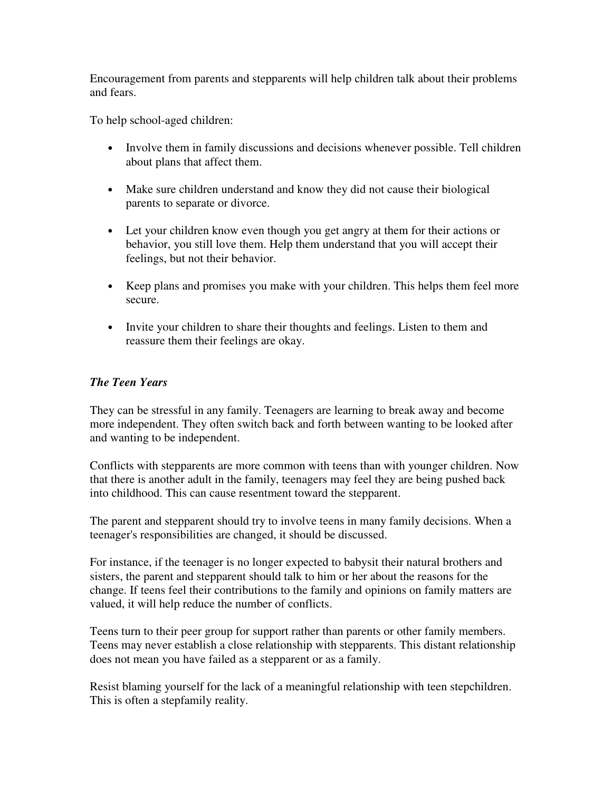Encouragement from parents and stepparents will help children talk about their problems and fears.

To help school-aged children:

- Involve them in family discussions and decisions whenever possible. Tell children about plans that affect them.
- Make sure children understand and know they did not cause their biological parents to separate or divorce.
- Let your children know even though you get angry at them for their actions or behavior, you still love them. Help them understand that you will accept their feelings, but not their behavior.
- Keep plans and promises you make with your children. This helps them feel more secure.
- Invite your children to share their thoughts and feelings. Listen to them and reassure them their feelings are okay.

### *The Teen Years*

They can be stressful in any family. Teenagers are learning to break away and become more independent. They often switch back and forth between wanting to be looked after and wanting to be independent.

Conflicts with stepparents are more common with teens than with younger children. Now that there is another adult in the family, teenagers may feel they are being pushed back into childhood. This can cause resentment toward the stepparent.

The parent and stepparent should try to involve teens in many family decisions. When a teenager's responsibilities are changed, it should be discussed.

For instance, if the teenager is no longer expected to babysit their natural brothers and sisters, the parent and stepparent should talk to him or her about the reasons for the change. If teens feel their contributions to the family and opinions on family matters are valued, it will help reduce the number of conflicts.

Teens turn to their peer group for support rather than parents or other family members. Teens may never establish a close relationship with stepparents. This distant relationship does not mean you have failed as a stepparent or as a family.

Resist blaming yourself for the lack of a meaningful relationship with teen stepchildren. This is often a stepfamily reality.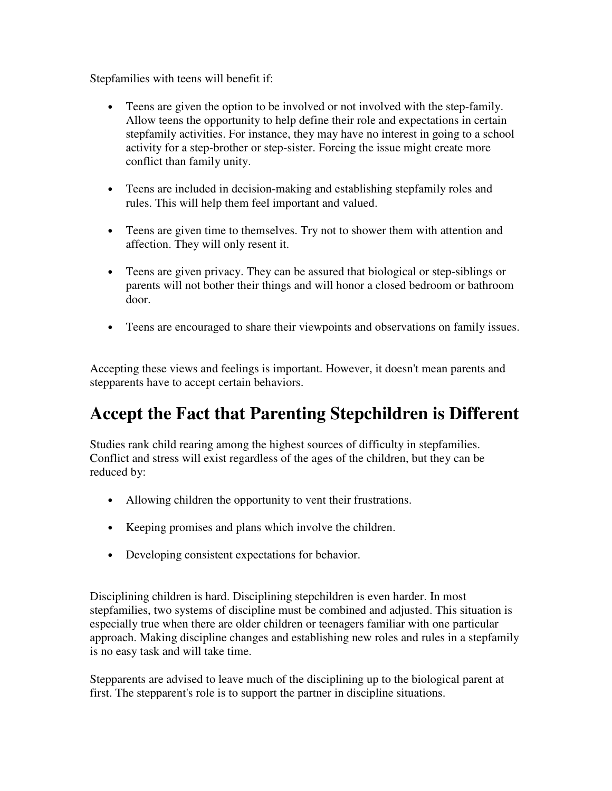Stepfamilies with teens will benefit if:

- Teens are given the option to be involved or not involved with the step-family. Allow teens the opportunity to help define their role and expectations in certain stepfamily activities. For instance, they may have no interest in going to a school activity for a step-brother or step-sister. Forcing the issue might create more conflict than family unity.
- Teens are included in decision-making and establishing stepfamily roles and rules. This will help them feel important and valued.
- Teens are given time to themselves. Try not to shower them with attention and affection. They will only resent it.
- Teens are given privacy. They can be assured that biological or step-siblings or parents will not bother their things and will honor a closed bedroom or bathroom door.
- Teens are encouraged to share their viewpoints and observations on family issues.

Accepting these views and feelings is important. However, it doesn't mean parents and stepparents have to accept certain behaviors.

# **Accept the Fact that Parenting Stepchildren is Different**

Studies rank child rearing among the highest sources of difficulty in stepfamilies. Conflict and stress will exist regardless of the ages of the children, but they can be reduced by:

- Allowing children the opportunity to vent their frustrations.
- Keeping promises and plans which involve the children.
- Developing consistent expectations for behavior.

Disciplining children is hard. Disciplining stepchildren is even harder. In most stepfamilies, two systems of discipline must be combined and adjusted. This situation is especially true when there are older children or teenagers familiar with one particular approach. Making discipline changes and establishing new roles and rules in a stepfamily is no easy task and will take time.

Stepparents are advised to leave much of the disciplining up to the biological parent at first. The stepparent's role is to support the partner in discipline situations.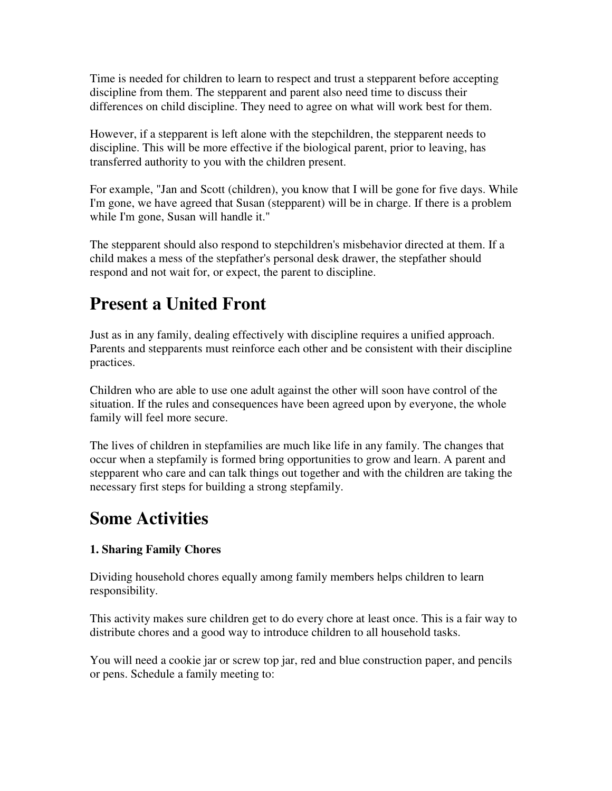Time is needed for children to learn to respect and trust a stepparent before accepting discipline from them. The stepparent and parent also need time to discuss their differences on child discipline. They need to agree on what will work best for them.

However, if a stepparent is left alone with the stepchildren, the stepparent needs to discipline. This will be more effective if the biological parent, prior to leaving, has transferred authority to you with the children present.

For example, "Jan and Scott (children), you know that I will be gone for five days. While I'm gone, we have agreed that Susan (stepparent) will be in charge. If there is a problem while I'm gone, Susan will handle it."

The stepparent should also respond to stepchildren's misbehavior directed at them. If a child makes a mess of the stepfather's personal desk drawer, the stepfather should respond and not wait for, or expect, the parent to discipline.

# **Present a United Front**

Just as in any family, dealing effectively with discipline requires a unified approach. Parents and stepparents must reinforce each other and be consistent with their discipline practices.

Children who are able to use one adult against the other will soon have control of the situation. If the rules and consequences have been agreed upon by everyone, the whole family will feel more secure.

The lives of children in stepfamilies are much like life in any family. The changes that occur when a stepfamily is formed bring opportunities to grow and learn. A parent and stepparent who care and can talk things out together and with the children are taking the necessary first steps for building a strong stepfamily.

# **Some Activities**

### **1. Sharing Family Chores**

Dividing household chores equally among family members helps children to learn responsibility.

This activity makes sure children get to do every chore at least once. This is a fair way to distribute chores and a good way to introduce children to all household tasks.

You will need a cookie jar or screw top jar, red and blue construction paper, and pencils or pens. Schedule a family meeting to: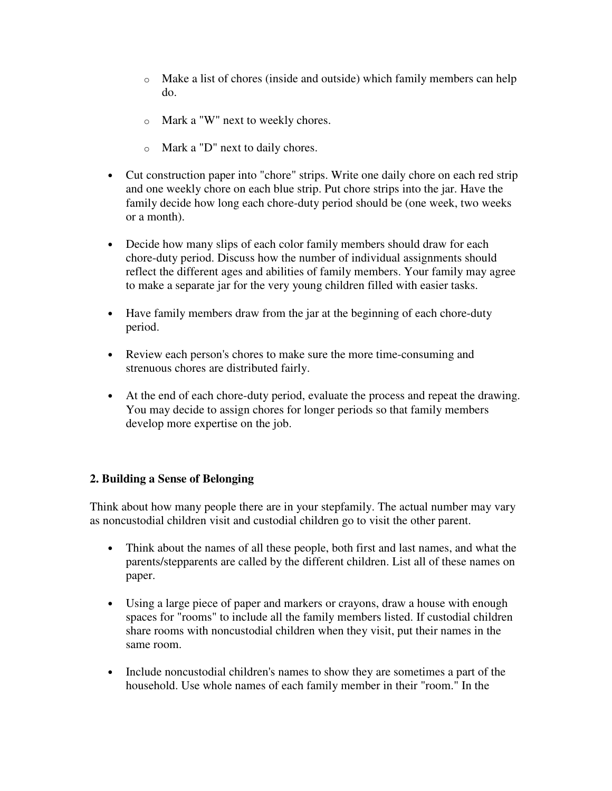- o Make a list of chores (inside and outside) which family members can help do.
- o Mark a "W" next to weekly chores.
- o Mark a "D" next to daily chores.
- Cut construction paper into "chore" strips. Write one daily chore on each red strip and one weekly chore on each blue strip. Put chore strips into the jar. Have the family decide how long each chore-duty period should be (one week, two weeks or a month).
- Decide how many slips of each color family members should draw for each chore-duty period. Discuss how the number of individual assignments should reflect the different ages and abilities of family members. Your family may agree to make a separate jar for the very young children filled with easier tasks.
- Have family members draw from the jar at the beginning of each chore-duty period.
- Review each person's chores to make sure the more time-consuming and strenuous chores are distributed fairly.
- At the end of each chore-duty period, evaluate the process and repeat the drawing. You may decide to assign chores for longer periods so that family members develop more expertise on the job.

### **2. Building a Sense of Belonging**

Think about how many people there are in your stepfamily. The actual number may vary as noncustodial children visit and custodial children go to visit the other parent.

- Think about the names of all these people, both first and last names, and what the parents/stepparents are called by the different children. List all of these names on paper.
- Using a large piece of paper and markers or crayons, draw a house with enough spaces for "rooms" to include all the family members listed. If custodial children share rooms with noncustodial children when they visit, put their names in the same room.
- Include noncustodial children's names to show they are sometimes a part of the household. Use whole names of each family member in their "room." In the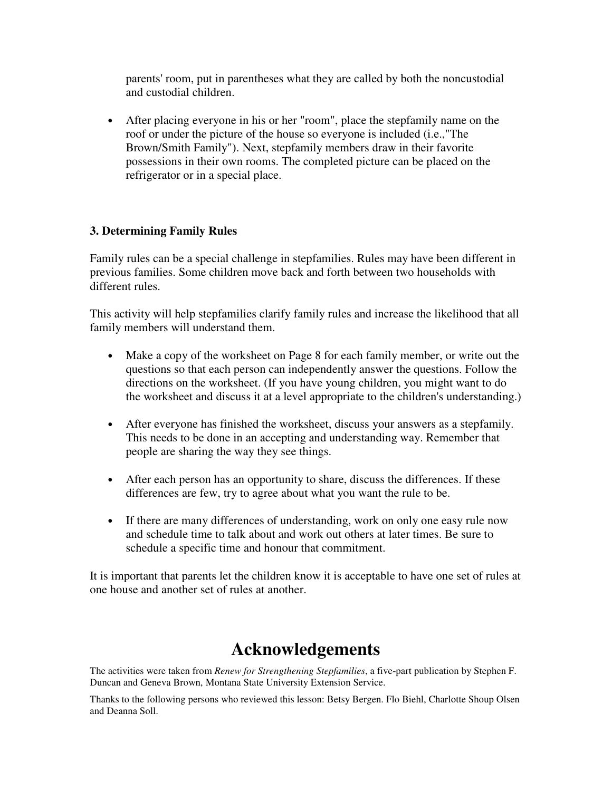parents' room, put in parentheses what they are called by both the noncustodial and custodial children.

• After placing everyone in his or her "room", place the stepfamily name on the roof or under the picture of the house so everyone is included (i.e.,"The Brown/Smith Family"). Next, stepfamily members draw in their favorite possessions in their own rooms. The completed picture can be placed on the refrigerator or in a special place.

### **3. Determining Family Rules**

Family rules can be a special challenge in stepfamilies. Rules may have been different in previous families. Some children move back and forth between two households with different rules.

This activity will help stepfamilies clarify family rules and increase the likelihood that all family members will understand them.

- Make a copy of the worksheet on Page 8 for each family member, or write out the questions so that each person can independently answer the questions. Follow the directions on the worksheet. (If you have young children, you might want to do the worksheet and discuss it at a level appropriate to the children's understanding.)
- After everyone has finished the worksheet, discuss your answers as a stepfamily. This needs to be done in an accepting and understanding way. Remember that people are sharing the way they see things.
- After each person has an opportunity to share, discuss the differences. If these differences are few, try to agree about what you want the rule to be.
- If there are many differences of understanding, work on only one easy rule now and schedule time to talk about and work out others at later times. Be sure to schedule a specific time and honour that commitment.

It is important that parents let the children know it is acceptable to have one set of rules at one house and another set of rules at another.

## **Acknowledgements**

The activities were taken from *Renew for Strengthening Stepfamilies*, a five-part publication by Stephen F. Duncan and Geneva Brown, Montana State University Extension Service.

Thanks to the following persons who reviewed this lesson: Betsy Bergen. Flo Biehl, Charlotte Shoup Olsen and Deanna Soll.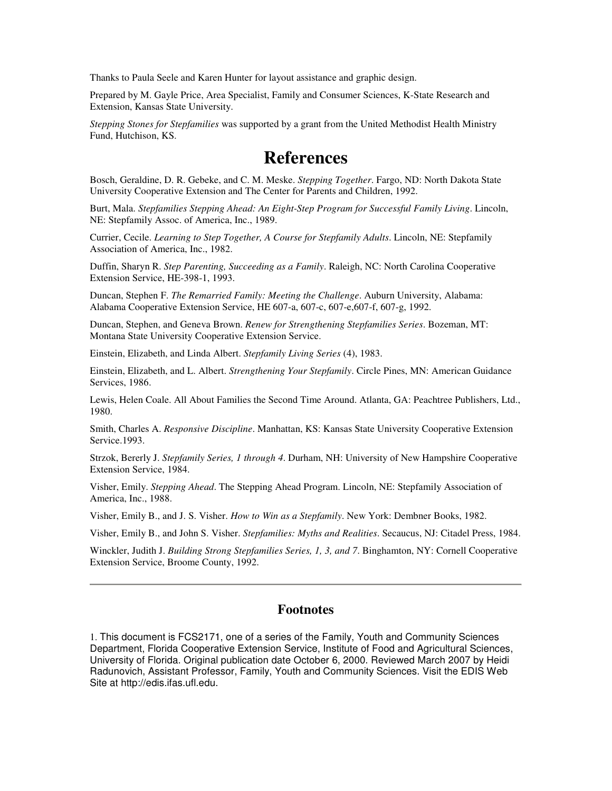Thanks to Paula Seele and Karen Hunter for layout assistance and graphic design.

Prepared by M. Gayle Price, Area Specialist, Family and Consumer Sciences, K-State Research and Extension, Kansas State University.

*Stepping Stones for Stepfamilies* was supported by a grant from the United Methodist Health Ministry Fund, Hutchison, KS.

### **References**

Bosch, Geraldine, D. R. Gebeke, and C. M. Meske. *Stepping Together*. Fargo, ND: North Dakota State University Cooperative Extension and The Center for Parents and Children, 1992.

Burt, Mala. *Stepfamilies Stepping Ahead: An Eight-Step Program for Successful Family Living*. Lincoln, NE: Stepfamily Assoc. of America, Inc., 1989.

Currier, Cecile. *Learning to Step Together, A Course for Stepfamily Adults*. Lincoln, NE: Stepfamily Association of America, Inc., 1982.

Duffin, Sharyn R. *Step Parenting, Succeeding as a Family*. Raleigh, NC: North Carolina Cooperative Extension Service, HE-398-1, 1993.

Duncan, Stephen F. *The Remarried Family: Meeting the Challenge*. Auburn University, Alabama: Alabama Cooperative Extension Service, HE 607-a, 607-c, 607-e,607-f, 607-g, 1992.

Duncan, Stephen, and Geneva Brown. *Renew for Strengthening Stepfamilies Series*. Bozeman, MT: Montana State University Cooperative Extension Service.

Einstein, Elizabeth, and Linda Albert. *Stepfamily Living Series* (4), 1983.

Einstein, Elizabeth, and L. Albert. *Strengthening Your Stepfamily*. Circle Pines, MN: American Guidance Services, 1986.

Lewis, Helen Coale. All About Families the Second Time Around. Atlanta, GA: Peachtree Publishers, Ltd., 1980.

Smith, Charles A. *Responsive Discipline*. Manhattan, KS: Kansas State University Cooperative Extension Service.1993.

Strzok, Bererly J. *Stepfamily Series, 1 through 4*. Durham, NH: University of New Hampshire Cooperative Extension Service, 1984.

Visher, Emily. *Stepping Ahead*. The Stepping Ahead Program. Lincoln, NE: Stepfamily Association of America, Inc., 1988.

Visher, Emily B., and J. S. Visher. *How to Win as a Stepfamily*. New York: Dembner Books, 1982.

Visher, Emily B., and John S. Visher. *Stepfamilies: Myths and Realities*. Secaucus, NJ: Citadel Press, 1984.

Winckler, Judith J. *Building Strong Stepfamilies Series, 1, 3, and 7*. Binghamton, NY: Cornell Cooperative Extension Service, Broome County, 1992.

#### **Footnotes**

1. This document is FCS2171, one of a series of the Family, Youth and Community Sciences Department, Florida Cooperative Extension Service, Institute of Food and Agricultural Sciences, University of Florida. Original publication date October 6, 2000. Reviewed March 2007 by Heidi Radunovich, Assistant Professor, Family, Youth and Community Sciences. Visit the EDIS Web Site at http://edis.ifas.ufl.edu.